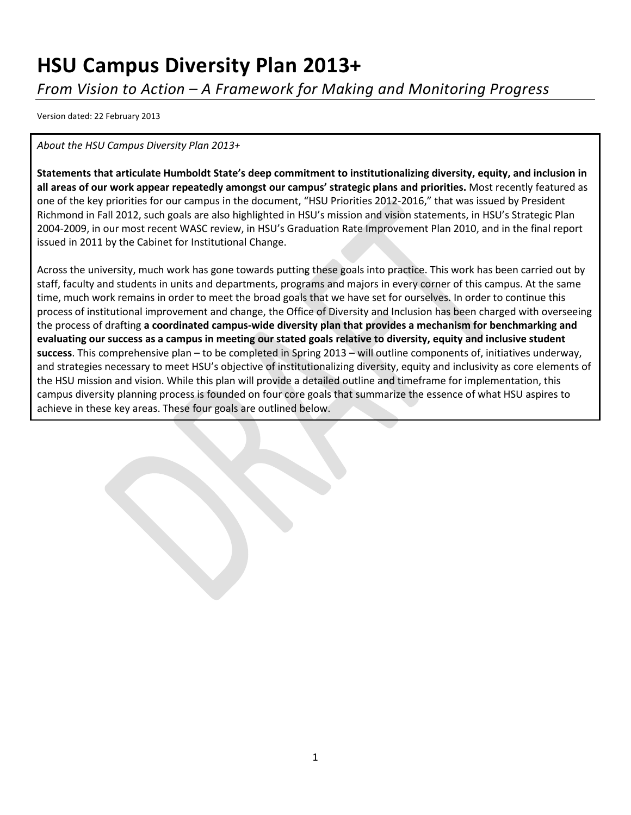# **HSU Campus Diversity Plan 2013+**

*From Vision to Action – A Framework for Making and Monitoring Progress*

Version dated: 22 February 2013

*About the HSU Campus Diversity Plan 2013+*

**Statements that articulate Humboldt State's deep commitment to institutionalizing diversity, equity, and inclusion in all areas of our work appear repeatedly amongst our campus' strategic plans and priorities.** Most recently featured as one of the key priorities for our campus in the document, "HSU Priorities 2012-2016," that was issued by President Richmond in Fall 2012, such goals are also highlighted in HSU's mission and vision statements, in HSU's Strategic Plan 2004-2009, in our most recent WASC review, in HSU's Graduation Rate Improvement Plan 2010, and in the final report issued in 2011 by the Cabinet for Institutional Change.

Across the university, much work has gone towards putting these goals into practice. This work has been carried out by staff, faculty and students in units and departments, programs and majors in every corner of this campus. At the same time, much work remains in order to meet the broad goals that we have set for ourselves. In order to continue this process of institutional improvement and change, the Office of Diversity and Inclusion has been charged with overseeing the process of drafting **a coordinated campus-wide diversity plan that provides a mechanism for benchmarking and evaluating our success as a campus in meeting our stated goals relative to diversity, equity and inclusive student success**. This comprehensive plan – to be completed in Spring 2013 – will outline components of, initiatives underway, and strategies necessary to meet HSU's objective of institutionalizing diversity, equity and inclusivity as core elements of the HSU mission and vision. While this plan will provide a detailed outline and timeframe for implementation, this campus diversity planning process is founded on four core goals that summarize the essence of what HSU aspires to achieve in these key areas. These four goals are outlined below.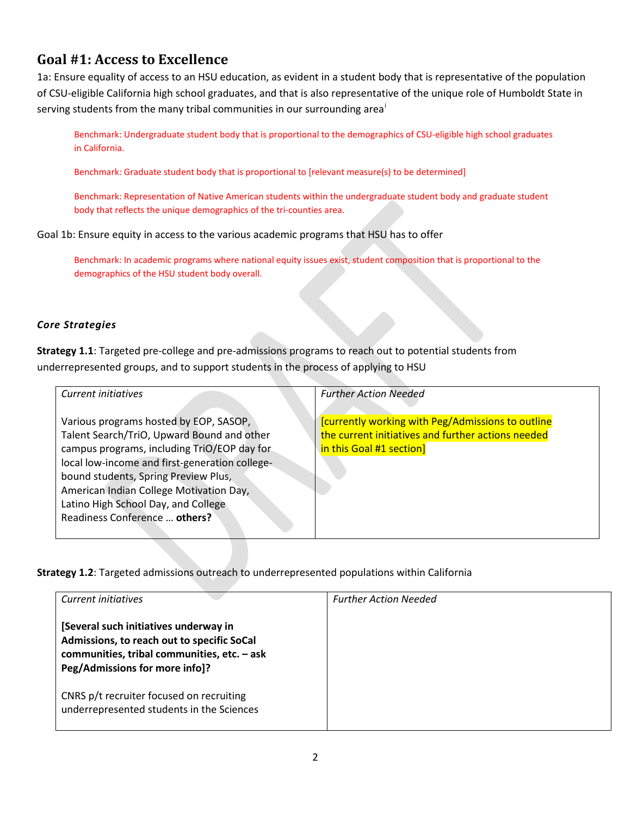### **Goal #1: Access to Excellence**

1a: Ensure equality of access to an HSU education, as evident in a student body that is representative of the population of CSU-eligible California high school graduates, and that is also representative of the unique role of Humboldt State in serv[i](#page-13-0)ng students from the many tribal communities in our surrounding area<sup>i</sup>

Benchmark: Undergraduate student body that is proportional to the demographics of CSU-eligible high school graduates in California.

Benchmark: Graduate student body that is proportional to [relevant measure(s) to be determined]

Benchmark: Representation of Native American students within the undergraduate student body and graduate student body that reflects the unique demographics of the tri-counties area.

Goal 1b: Ensure equity in access to the various academic programs that HSU has to offer

Benchmark: In academic programs where national equity issues exist, student composition that is proportional to the demographics of the HSU student body overall.

### *Core Strategies*

**Strategy 1.1**: Targeted pre-college and pre-admissions programs to reach out to potential students from underrepresented groups, and to support students in the process of applying to HSU

| Current initiatives                                                                       | <b>Further Action Needed</b>                                                   |
|-------------------------------------------------------------------------------------------|--------------------------------------------------------------------------------|
| Various programs hosted by EOP, SASOP,                                                    | <b>[currently working with Peg/Admissions to outline</b>                       |
| Talent Search/TriO, Upward Bound and other<br>campus programs, including TriO/EOP day for | the current initiatives and further actions needed<br>in this Goal #1 section] |
| local low-income and first-generation college-                                            |                                                                                |
| bound students, Spring Preview Plus,                                                      |                                                                                |
| American Indian College Motivation Day,                                                   |                                                                                |
| Latino High School Day, and College                                                       |                                                                                |
| Readiness Conference  others?                                                             |                                                                                |

**Strategy 1.2**: Targeted admissions outreach to underrepresented populations within California

| Current initiatives                                                                                                                                                  | <b>Further Action Needed</b> |
|----------------------------------------------------------------------------------------------------------------------------------------------------------------------|------------------------------|
| [Several such initiatives underway in<br>Admissions, to reach out to specific SoCal<br>communities, tribal communities, etc. - ask<br>Peg/Admissions for more info]? |                              |
| CNRS p/t recruiter focused on recruiting<br>underrepresented students in the Sciences                                                                                |                              |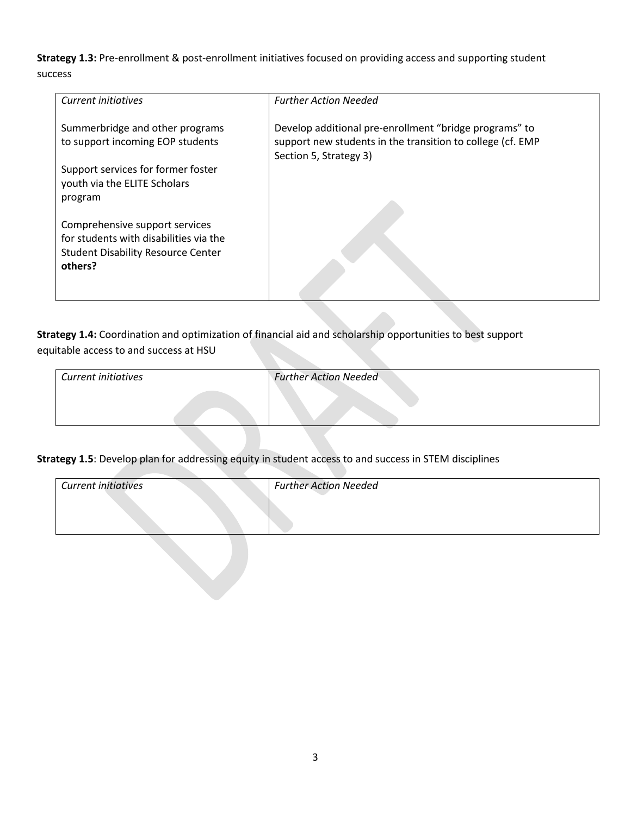**Strategy 1.3:** Pre-enrollment & post-enrollment initiatives focused on providing access and supporting student success

| Current initiatives                                                                                                              | <b>Further Action Needed</b>                                                                                                                   |
|----------------------------------------------------------------------------------------------------------------------------------|------------------------------------------------------------------------------------------------------------------------------------------------|
| Summerbridge and other programs<br>to support incoming EOP students                                                              | Develop additional pre-enrollment "bridge programs" to<br>support new students in the transition to college (cf. EMP<br>Section 5, Strategy 3) |
| Support services for former foster<br>youth via the ELITE Scholars<br>program                                                    |                                                                                                                                                |
| Comprehensive support services<br>for students with disabilities via the<br><b>Student Disability Resource Center</b><br>others? |                                                                                                                                                |

**Strategy 1.4:** Coordination and optimization of financial aid and scholarship opportunities to best support equitable access to and success at HSU

| Current initiatives | <b>Further Action Needed</b> |
|---------------------|------------------------------|
|                     |                              |
|                     |                              |
|                     |                              |

### **Strategy 1.5**: Develop plan for addressing equity in student access to and success in STEM disciplines

| <b>Current initiatives</b> | <b>Further Action Needed</b> |
|----------------------------|------------------------------|
|                            |                              |
|                            |                              |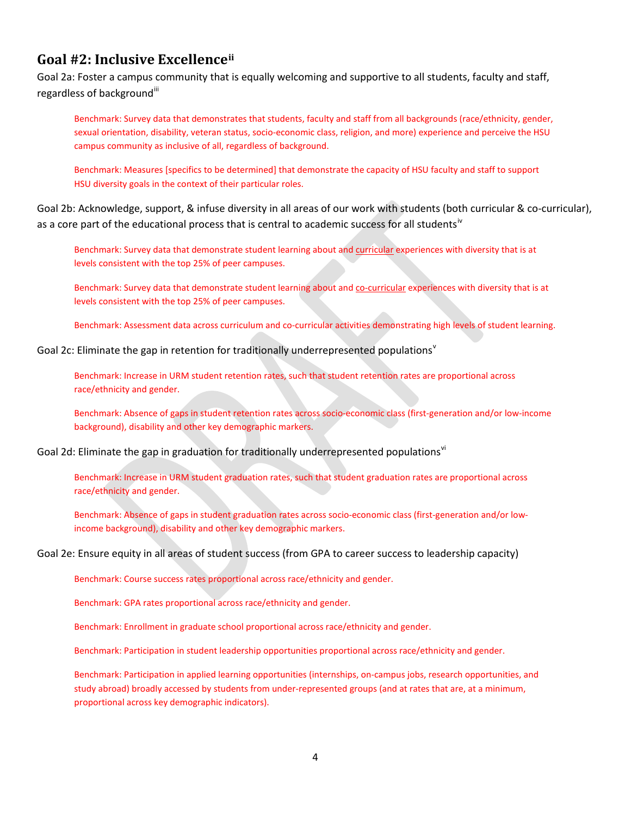### **Goal #2: Inclusive Excellence[ii](#page-13-1)**

Goal 2a: Foster a campus community that is equally welcoming and supportive to all students, faculty and staff, regardless of background"

Benchmark: Survey data that demonstrates that students, faculty and staff from all backgrounds (race/ethnicity, gender, sexual orientation, disability, veteran status, socio-economic class, religion, and more) experience and perceive the HSU campus community as inclusive of all, regardless of background.

Benchmark: Measures [specifics to be determined] that demonstrate the capacity of HSU faculty and staff to support HSU diversity goals in the context of their particular roles.

Goal 2b: Acknowledge, support, & infuse diversity in all areas of our work with students (both curricular & co-curricular), as a core part of the educational process that is central to academic success for all students<sup>[iv](#page-13-3)</sup>

Benchmark: Survey data that demonstrate student learning about and curricular experiences with diversity that is at levels consistent with the top 25% of peer campuses.

Benchmark: Survey data that demonstrate student learning about and co-curricular experiences with diversity that is at levels consistent with the top 25% of peer campuses.

Benchmark: Assessment data across curriculum and co-curricular activities demonstrating high levels of student learning.

Goal 2c: Eliminate the gap in retention for traditionally underrepresented populations<sup>[v](#page-13-4)</sup>

Benchmark: Increase in URM student retention rates, such that student retention rates are proportional across race/ethnicity and gender.

Benchmark: Absence of gaps in student retention rates across socio-economic class (first-generation and/or low-income background), disability and other key demographic markers.

Goal 2d: Eliminate the gap in graduation for traditionally underrepresented populations<sup>[vi](#page-13-5)</sup>

Benchmark: Increase in URM student graduation rates, such that student graduation rates are proportional across race/ethnicity and gender.

Benchmark: Absence of gaps in student graduation rates across socio-economic class (first-generation and/or lowincome background), disability and other key demographic markers.

#### Goal 2e: Ensure equity in all areas of student success (from GPA to career success to leadership capacity)

Benchmark: Course success rates proportional across race/ethnicity and gender.

Benchmark: GPA rates proportional across race/ethnicity and gender.

Benchmark: Enrollment in graduate school proportional across race/ethnicity and gender.

Benchmark: Participation in student leadership opportunities proportional across race/ethnicity and gender.

Benchmark: Participation in applied learning opportunities (internships, on-campus jobs, research opportunities, and study abroad) broadly accessed by students from under-represented groups (and at rates that are, at a minimum, proportional across key demographic indicators).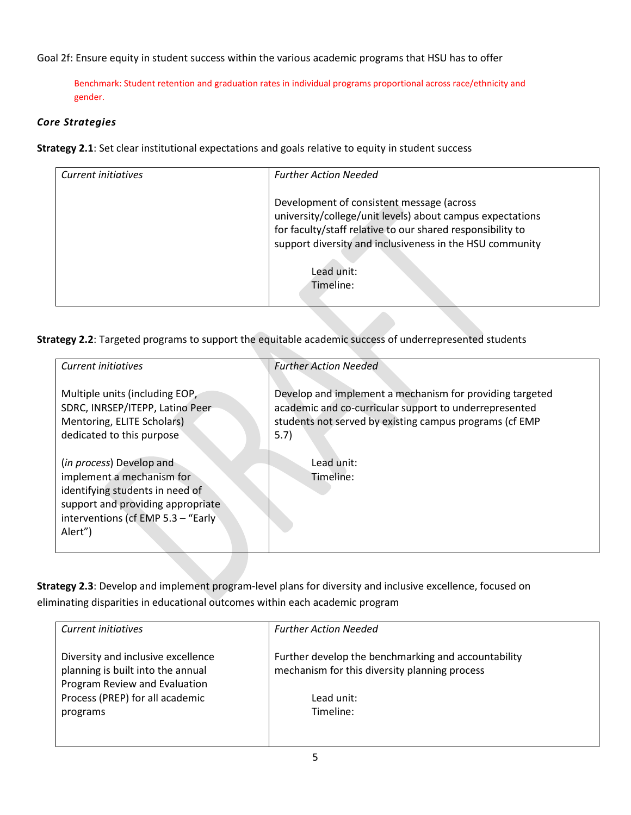Goal 2f: Ensure equity in student success within the various academic programs that HSU has to offer

Benchmark: Student retention and graduation rates in individual programs proportional across race/ethnicity and gender.

### *Core Strategies*

**Strategy 2.1**: Set clear institutional expectations and goals relative to equity in student success

| Current initiatives | <b>Further Action Needed</b>                                                                                                                                                                                                     |
|---------------------|----------------------------------------------------------------------------------------------------------------------------------------------------------------------------------------------------------------------------------|
|                     | Development of consistent message (across<br>university/college/unit levels) about campus expectations<br>for faculty/staff relative to our shared responsibility to<br>support diversity and inclusiveness in the HSU community |
|                     | Lead unit:<br>Timeline:                                                                                                                                                                                                          |

**Strategy 2.2**: Targeted programs to support the equitable academic success of underrepresented students

| Current initiatives                                                                                                                                                                      | <b>Further Action Needed</b>                                                                                                                                                          |
|------------------------------------------------------------------------------------------------------------------------------------------------------------------------------------------|---------------------------------------------------------------------------------------------------------------------------------------------------------------------------------------|
|                                                                                                                                                                                          |                                                                                                                                                                                       |
| Multiple units (including EOP,<br>SDRC, INRSEP/ITEPP, Latino Peer<br>Mentoring, ELITE Scholars)<br>dedicated to this purpose                                                             | Develop and implement a mechanism for providing targeted<br>academic and co-curricular support to underrepresented<br>students not served by existing campus programs (cf EMP<br>5.7) |
| ( <i>in process</i> ) Develop and<br>implement a mechanism for<br>identifying students in need of<br>support and providing appropriate<br>interventions (cf EMP 5.3 - "Early"<br>Alert") | Lead unit:<br>Timeline:                                                                                                                                                               |

**Strategy 2.3**: Develop and implement program-level plans for diversity and inclusive excellence, focused on eliminating disparities in educational outcomes within each academic program

| Current initiatives                | <b>Further Action Needed</b>                        |
|------------------------------------|-----------------------------------------------------|
|                                    |                                                     |
|                                    |                                                     |
| Diversity and inclusive excellence | Further develop the benchmarking and accountability |
|                                    |                                                     |
| planning is built into the annual  | mechanism for this diversity planning process       |
| Program Review and Evaluation      |                                                     |
|                                    |                                                     |
| Process (PREP) for all academic    | Lead unit:                                          |
|                                    | Timeline:                                           |
| programs                           |                                                     |
|                                    |                                                     |
|                                    |                                                     |
|                                    |                                                     |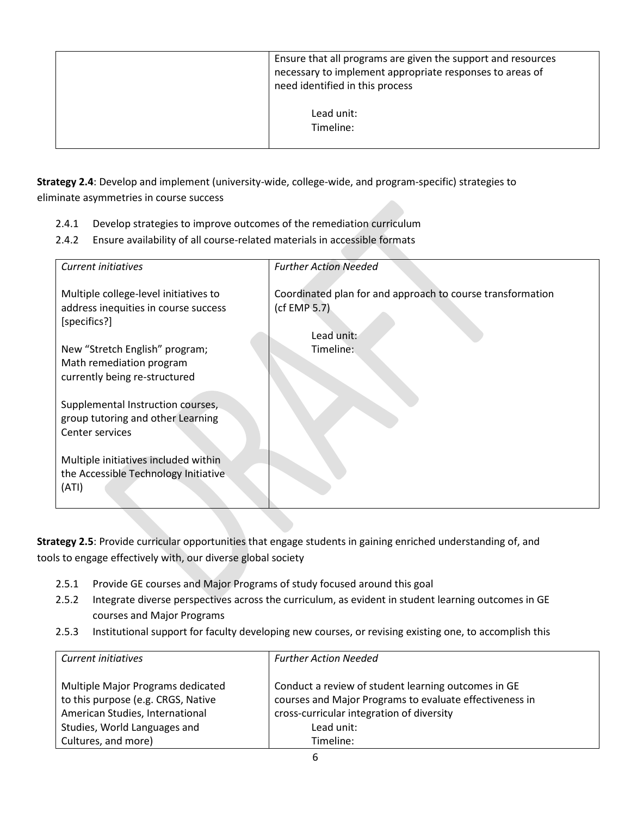| Ensure that all programs are given the support and resources<br>necessary to implement appropriate responses to areas of<br>need identified in this process |
|-------------------------------------------------------------------------------------------------------------------------------------------------------------|
| Lead unit:<br>Timeline:                                                                                                                                     |

**Strategy 2.4**: Develop and implement (university-wide, college-wide, and program-specific) strategies to eliminate asymmetries in course success

- 2.4.1 Develop strategies to improve outcomes of the remediation curriculum
- 2.4.2 Ensure availability of all course-related materials in accessible formats

| Current initiatives                                  | <b>Further Action Needed</b>                               |
|------------------------------------------------------|------------------------------------------------------------|
|                                                      |                                                            |
| Multiple college-level initiatives to                | Coordinated plan for and approach to course transformation |
| address inequities in course success                 | (cf EMP $5.7$ )                                            |
| [specifics?]                                         |                                                            |
|                                                      | Lead unit:                                                 |
| New "Stretch English" program;                       | Timeline:                                                  |
| Math remediation program                             |                                                            |
| currently being re-structured                        |                                                            |
|                                                      |                                                            |
| Supplemental Instruction courses,                    |                                                            |
| group tutoring and other Learning<br>Center services |                                                            |
|                                                      |                                                            |
| Multiple initiatives included within                 |                                                            |
| the Accessible Technology Initiative                 |                                                            |
| (ATI)                                                |                                                            |
|                                                      |                                                            |

**Strategy 2.5**: Provide curricular opportunities that engage students in gaining enriched understanding of, and tools to engage effectively with, our diverse global society

- 2.5.1 Provide GE courses and Major Programs of study focused around this goal
- 2.5.2 Integrate diverse perspectives across the curriculum, as evident in student learning outcomes in GE courses and Major Programs
- 2.5.3 Institutional support for faculty developing new courses, or revising existing one, to accomplish this

| Current initiatives                | <b>Further Action Needed</b>                            |
|------------------------------------|---------------------------------------------------------|
| Multiple Major Programs dedicated  | Conduct a review of student learning outcomes in GE     |
| to this purpose (e.g. CRGS, Native | courses and Major Programs to evaluate effectiveness in |
| American Studies, International    | cross-curricular integration of diversity               |
| Studies, World Languages and       | Lead unit:                                              |
| Cultures, and more)                | Timeline:                                               |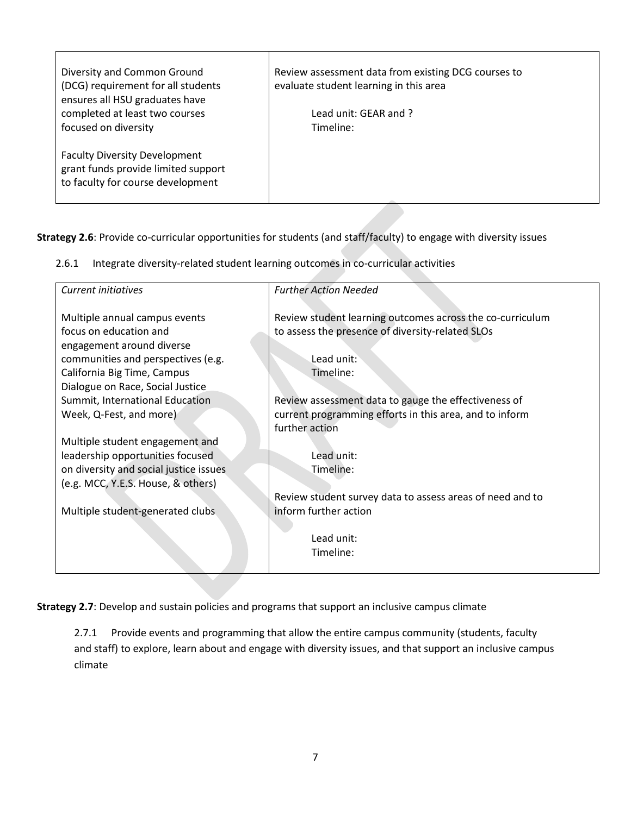| Diversity and Common Ground<br>(DCG) requirement for all students<br>ensures all HSU graduates have | Review assessment data from existing DCG courses to<br>evaluate student learning in this area |
|-----------------------------------------------------------------------------------------------------|-----------------------------------------------------------------------------------------------|
| completed at least two courses<br>focused on diversity                                              | Lead unit: GEAR and ?<br>Timeline:                                                            |
|                                                                                                     |                                                                                               |
| <b>Faculty Diversity Development</b><br>grant funds provide limited support                         |                                                                                               |
| to faculty for course development                                                                   |                                                                                               |
|                                                                                                     |                                                                                               |

**Strategy 2.6**: Provide co-curricular opportunities for students (and staff/faculty) to engage with diversity issues

| 2.6.1 Integrate diversity-related student learning outcomes in co-curricular activities |  |  |
|-----------------------------------------------------------------------------------------|--|--|
|                                                                                         |  |  |

| Current initiatives                    | <b>Further Action Needed</b>                              |
|----------------------------------------|-----------------------------------------------------------|
|                                        |                                                           |
| Multiple annual campus events          | Review student learning outcomes across the co-curriculum |
| focus on education and                 | to assess the presence of diversity-related SLOs          |
| engagement around diverse              |                                                           |
| communities and perspectives (e.g.     | Lead unit:                                                |
| California Big Time, Campus            | Timeline:                                                 |
| Dialogue on Race, Social Justice       |                                                           |
| Summit, International Education        | Review assessment data to gauge the effectiveness of      |
| Week, Q-Fest, and more)                | current programming efforts in this area, and to inform   |
|                                        | further action                                            |
| Multiple student engagement and        |                                                           |
| leadership opportunities focused       | Lead unit:                                                |
| on diversity and social justice issues | Timeline:                                                 |
| (e.g. MCC, Y.E.S. House, & others)     |                                                           |
|                                        | Review student survey data to assess areas of need and to |
| Multiple student-generated clubs       | inform further action                                     |
|                                        |                                                           |
|                                        | Lead unit:                                                |
|                                        | Timeline:                                                 |
|                                        |                                                           |
|                                        |                                                           |

**Strategy 2.7**: Develop and sustain policies and programs that support an inclusive campus climate

2.7.1 Provide events and programming that allow the entire campus community (students, faculty and staff) to explore, learn about and engage with diversity issues, and that support an inclusive campus climate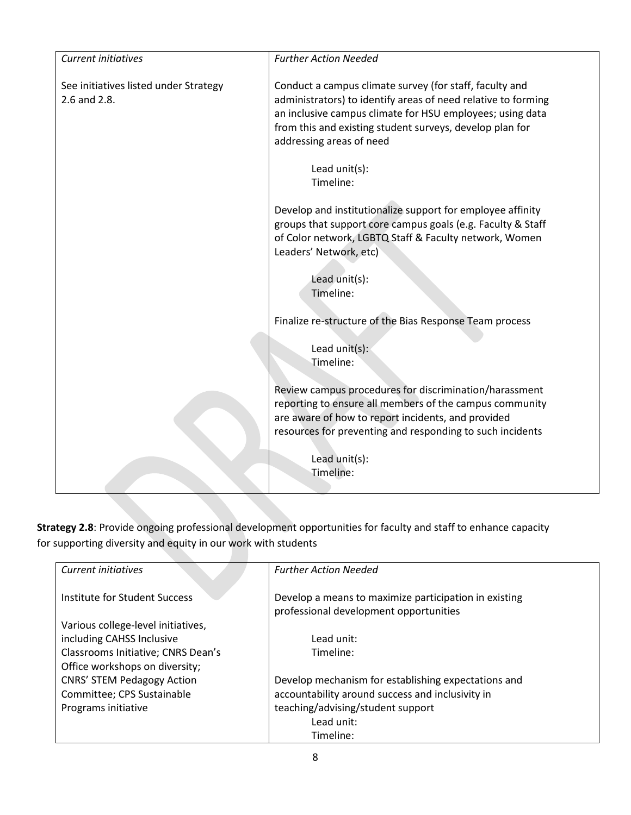| <b>Current initiatives</b>                            | <b>Further Action Needed</b>                                                                                                                                                                                                                                                  |
|-------------------------------------------------------|-------------------------------------------------------------------------------------------------------------------------------------------------------------------------------------------------------------------------------------------------------------------------------|
| See initiatives listed under Strategy<br>2.6 and 2.8. | Conduct a campus climate survey (for staff, faculty and<br>administrators) to identify areas of need relative to forming<br>an inclusive campus climate for HSU employees; using data<br>from this and existing student surveys, develop plan for<br>addressing areas of need |
|                                                       | Lead $unit(s)$ :<br>Timeline:                                                                                                                                                                                                                                                 |
|                                                       | Develop and institutionalize support for employee affinity<br>groups that support core campus goals (e.g. Faculty & Staff<br>of Color network, LGBTQ Staff & Faculty network, Women<br>Leaders' Network, etc)                                                                 |
|                                                       | Lead unit(s):<br>Timeline:                                                                                                                                                                                                                                                    |
|                                                       | Finalize re-structure of the Bias Response Team process                                                                                                                                                                                                                       |
|                                                       | Lead unit(s):<br>Timeline:                                                                                                                                                                                                                                                    |
|                                                       | Review campus procedures for discrimination/harassment<br>reporting to ensure all members of the campus community<br>are aware of how to report incidents, and provided<br>resources for preventing and responding to such incidents                                          |
|                                                       | Lead unit(s):<br>Timeline:                                                                                                                                                                                                                                                    |

**Strategy 2.8**: Provide ongoing professional development opportunities for faculty and staff to enhance capacity for supporting diversity and equity in our work with students

| Current initiatives                | <b>Further Action Needed</b>                                                                    |
|------------------------------------|-------------------------------------------------------------------------------------------------|
| Institute for Student Success      | Develop a means to maximize participation in existing<br>professional development opportunities |
| Various college-level initiatives, |                                                                                                 |
| including CAHSS Inclusive          | Lead unit:                                                                                      |
| Classrooms Initiative; CNRS Dean's | Timeline:                                                                                       |
| Office workshops on diversity;     |                                                                                                 |
| <b>CNRS' STEM Pedagogy Action</b>  | Develop mechanism for establishing expectations and                                             |
| Committee; CPS Sustainable         | accountability around success and inclusivity in                                                |
| Programs initiative                | teaching/advising/student support                                                               |
|                                    | Lead unit:                                                                                      |
|                                    | Timeline:                                                                                       |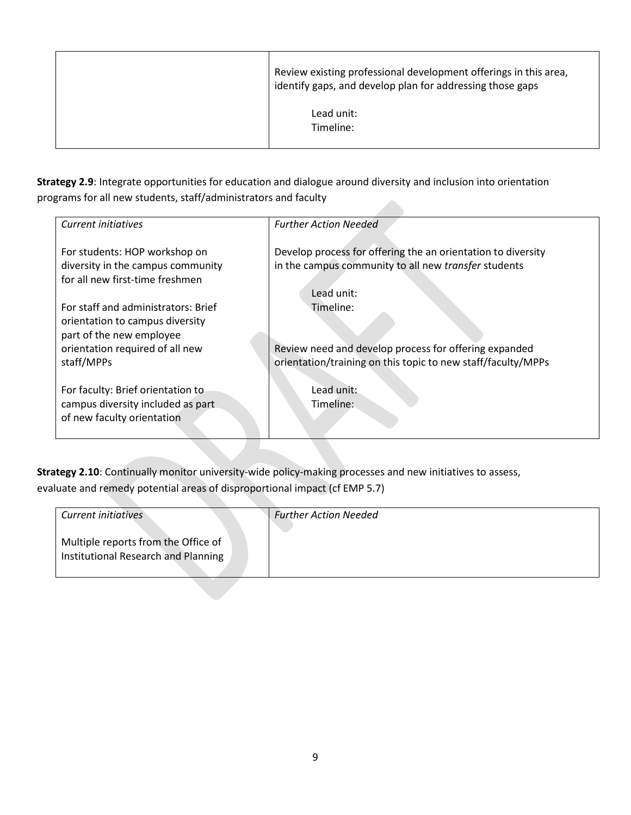| Review existing professional development offerings in this area,<br>identify gaps, and develop plan for addressing those gaps |
|-------------------------------------------------------------------------------------------------------------------------------|
| Lead unit:<br>Timeline:                                                                                                       |

**Strategy 2.9**: Integrate opportunities for education and dialogue around diversity and inclusion into orientation programs for all new students, staff/administrators and faculty 

| Current initiatives                                                                                | <b>Further Action Needed</b>                                                                                         |
|----------------------------------------------------------------------------------------------------|----------------------------------------------------------------------------------------------------------------------|
| For students: HOP workshop on<br>diversity in the campus community                                 | Develop process for offering the an orientation to diversity<br>in the campus community to all new transfer students |
| for all new first-time freshmen                                                                    | Lead unit:                                                                                                           |
| For staff and administrators: Brief<br>orientation to campus diversity<br>part of the new employee | Timeline:                                                                                                            |
| orientation required of all new                                                                    | Review need and develop process for offering expanded                                                                |
| staff/MPPs                                                                                         | orientation/training on this topic to new staff/faculty/MPPs                                                         |
|                                                                                                    |                                                                                                                      |
| For faculty: Brief orientation to                                                                  | Lead unit:                                                                                                           |
| campus diversity included as part<br>of new faculty orientation                                    | Timeline:                                                                                                            |
|                                                                                                    |                                                                                                                      |

**Strategy 2.10**: Continually monitor university-wide policy-making processes and new initiatives to assess, evaluate and remedy potential areas of disproportional impact (cf EMP 5.7)

| <b>Current initiatives</b>          | <b>Further Action Needed</b> |
|-------------------------------------|------------------------------|
| Multiple reports from the Office of |                              |
| Institutional Research and Planning |                              |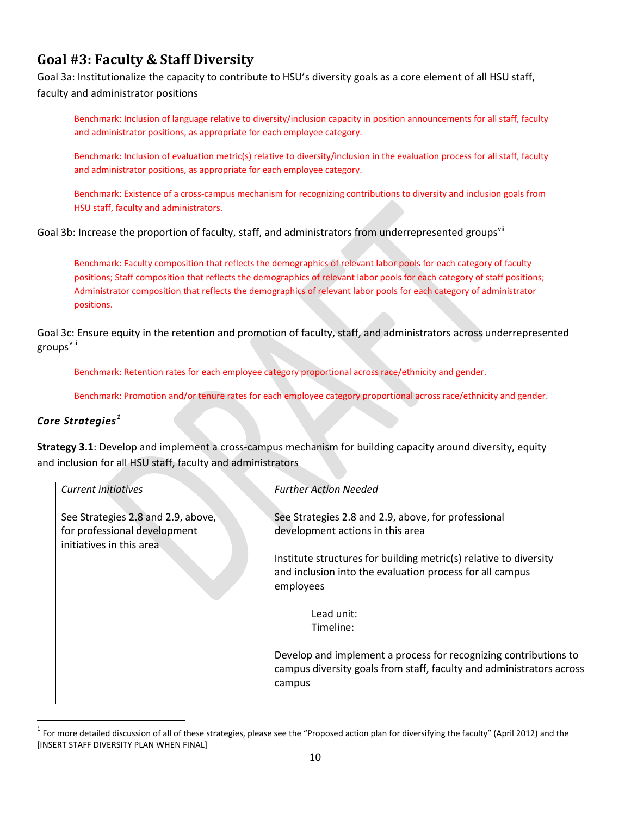# **Goal #3: Faculty & Staff Diversity**

Goal 3a: Institutionalize the capacity to contribute to HSU's diversity goals as a core element of all HSU staff, faculty and administrator positions

Benchmark: Inclusion of language relative to diversity/inclusion capacity in position announcements for all staff, faculty and administrator positions, as appropriate for each employee category.

Benchmark: Inclusion of evaluation metric(s) relative to diversity/inclusion in the evaluation process for all staff, faculty and administrator positions, as appropriate for each employee category.

Benchmark: Existence of a cross-campus mechanism for recognizing contributions to diversity and inclusion goals from HSU staff, faculty and administrators.

Goal 3b: Increase the proportion of faculty, staff, and administrators from underrepresented groups<sup>[vii](#page-13-6)</sup>

Benchmark: Faculty composition that reflects the demographics of relevant labor pools for each category of faculty positions; Staff composition that reflects the demographics of relevant labor pools for each category of staff positions; Administrator composition that reflects the demographics of relevant labor pools for each category of administrator positions.

Goal 3c: Ensure equity in the retention and promotion of faculty, staff, and administrators across underrepresented groups<sup>[viii](#page-13-7)</sup>

Benchmark: Retention rates for each employee category proportional across race/ethnicity and gender.

Benchmark: Promotion and/or tenure rates for each employee category proportional across race/ethnicity and gender.

### *Core Strategies [1](#page-9-0)*

**Strategy 3.1**: Develop and implement a cross-campus mechanism for building capacity around diversity, equity and inclusion for all HSU staff, faculty and administrators

| Current initiatives                | <b>Further Action Needed</b>                                         |
|------------------------------------|----------------------------------------------------------------------|
|                                    |                                                                      |
| See Strategies 2.8 and 2.9, above, | See Strategies 2.8 and 2.9, above, for professional                  |
| for professional development       | development actions in this area                                     |
| initiatives in this area           |                                                                      |
|                                    | Institute structures for building metric(s) relative to diversity    |
|                                    | and inclusion into the evaluation process for all campus             |
|                                    | employees                                                            |
|                                    |                                                                      |
|                                    | Lead unit:                                                           |
|                                    | Timeline:                                                            |
|                                    |                                                                      |
|                                    | Develop and implement a process for recognizing contributions to     |
|                                    | campus diversity goals from staff, faculty and administrators across |
|                                    | campus                                                               |
|                                    |                                                                      |

<span id="page-9-0"></span> $1$  For more detailed discussion of all of these strategies, please see the "Proposed action plan for diversifying the faculty" (April 2012) and the [INSERT STAFF DIVERSITY PLAN WHEN FINAL]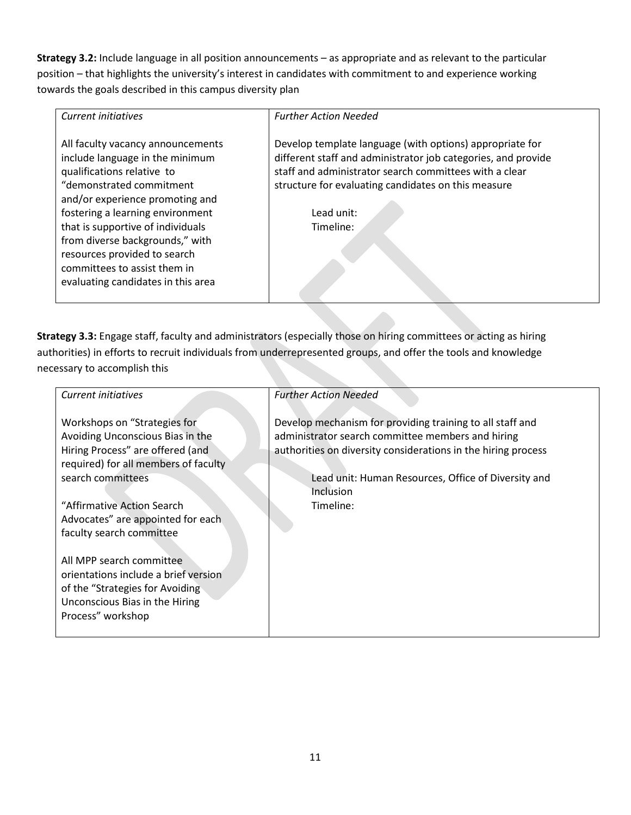**Strategy 3.2:** Include language in all position announcements – as appropriate and as relevant to the particular position – that highlights the university's interest in candidates with commitment to and experience working towards the goals described in this campus diversity plan

| <b>Current initiatives</b>                                                                                                                                        | <b>Further Action Needed</b>                                                                                                                                                                                                               |
|-------------------------------------------------------------------------------------------------------------------------------------------------------------------|--------------------------------------------------------------------------------------------------------------------------------------------------------------------------------------------------------------------------------------------|
| All faculty vacancy announcements<br>include language in the minimum<br>qualifications relative to<br>"demonstrated commitment<br>and/or experience promoting and | Develop template language (with options) appropriate for<br>different staff and administrator job categories, and provide<br>staff and administrator search committees with a clear<br>structure for evaluating candidates on this measure |
| fostering a learning environment<br>that is supportive of individuals                                                                                             | Lead unit:<br>Timeline:                                                                                                                                                                                                                    |
| from diverse backgrounds," with<br>resources provided to search<br>committees to assist them in<br>evaluating candidates in this area                             |                                                                                                                                                                                                                                            |

**Strategy 3.3:** Engage staff, faculty and administrators (especially those on hiring committees or acting as hiring authorities) in efforts to recruit individuals from underrepresented groups, and offer the tools and knowledge necessary to accomplish this

| Current initiatives                                                                                                                          | <b>Further Action Needed</b>                                                                                                                                                    |
|----------------------------------------------------------------------------------------------------------------------------------------------|---------------------------------------------------------------------------------------------------------------------------------------------------------------------------------|
| Workshops on "Strategies for<br>Avoiding Unconscious Bias in the<br>Hiring Process" are offered (and<br>required) for all members of faculty | Develop mechanism for providing training to all staff and<br>administrator search committee members and hiring<br>authorities on diversity considerations in the hiring process |
| search committees                                                                                                                            | Lead unit: Human Resources, Office of Diversity and<br>Inclusion                                                                                                                |
| "Affirmative Action Search                                                                                                                   | Timeline:                                                                                                                                                                       |
| Advocates" are appointed for each<br>faculty search committee                                                                                |                                                                                                                                                                                 |
| All MPP search committee<br>orientations include a brief version                                                                             |                                                                                                                                                                                 |
| of the "Strategies for Avoiding<br>Unconscious Bias in the Hiring                                                                            |                                                                                                                                                                                 |
| Process" workshop                                                                                                                            |                                                                                                                                                                                 |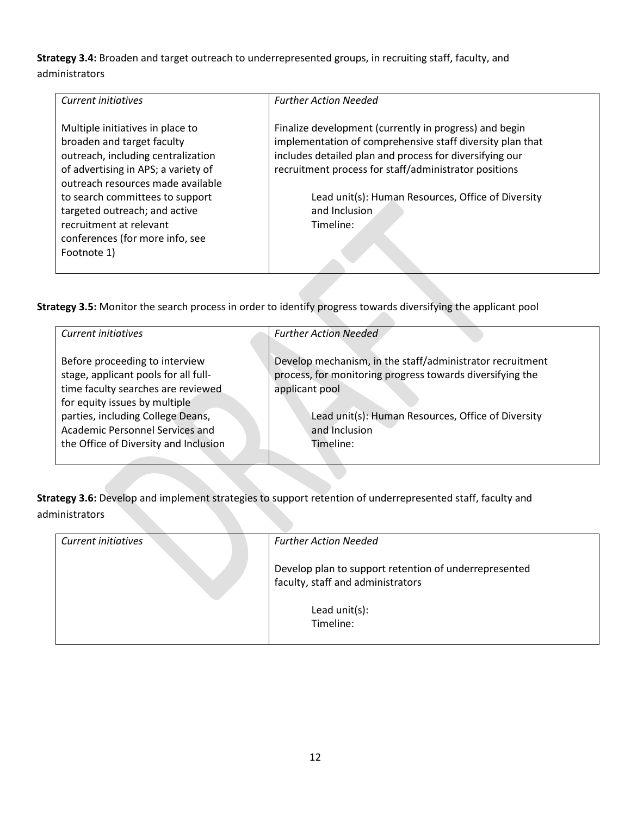**Strategy 3.4:** Broaden and target outreach to underrepresented groups, in recruiting staff, faculty, and administrators

| Current initiatives                                                                                                                         | <b>Further Action Needed</b>                                                                                                                                                                                                            |
|---------------------------------------------------------------------------------------------------------------------------------------------|-----------------------------------------------------------------------------------------------------------------------------------------------------------------------------------------------------------------------------------------|
| Multiple initiatives in place to<br>broaden and target faculty<br>outreach, including centralization<br>of advertising in APS; a variety of | Finalize development (currently in progress) and begin<br>implementation of comprehensive staff diversity plan that<br>includes detailed plan and process for diversifying our<br>recruitment process for staff/administrator positions |
| outreach resources made available<br>to search committees to support<br>targeted outreach; and active                                       | Lead unit(s): Human Resources, Office of Diversity<br>and Inclusion                                                                                                                                                                     |
| recruitment at relevant<br>conferences (for more info, see<br>Footnote 1)                                                                   | Timeline:                                                                                                                                                                                                                               |

**Strategy 3.5:** Monitor the search process in order to identify progress towards diversifying the applicant pool

| Current initiatives                   | <b>Further Action Needed</b>                              |
|---------------------------------------|-----------------------------------------------------------|
| Before proceeding to interview        | Develop mechanism, in the staff/administrator recruitment |
| stage, applicant pools for all full-  | process, for monitoring progress towards diversifying the |
| time faculty searches are reviewed    | applicant pool                                            |
| for equity issues by multiple         |                                                           |
| parties, including College Deans,     | Lead unit(s): Human Resources, Office of Diversity        |
| Academic Personnel Services and       | and Inclusion                                             |
| the Office of Diversity and Inclusion | Timeline:                                                 |
|                                       |                                                           |

**Strategy 3.6:** Develop and implement strategies to support retention of underrepresented staff, faculty and administrators

| <b>Further Action Needed</b>                                                               |
|--------------------------------------------------------------------------------------------|
| Develop plan to support retention of underrepresented<br>faculty, staff and administrators |
| Lead $unit(s)$ :<br>Timeline:                                                              |
|                                                                                            |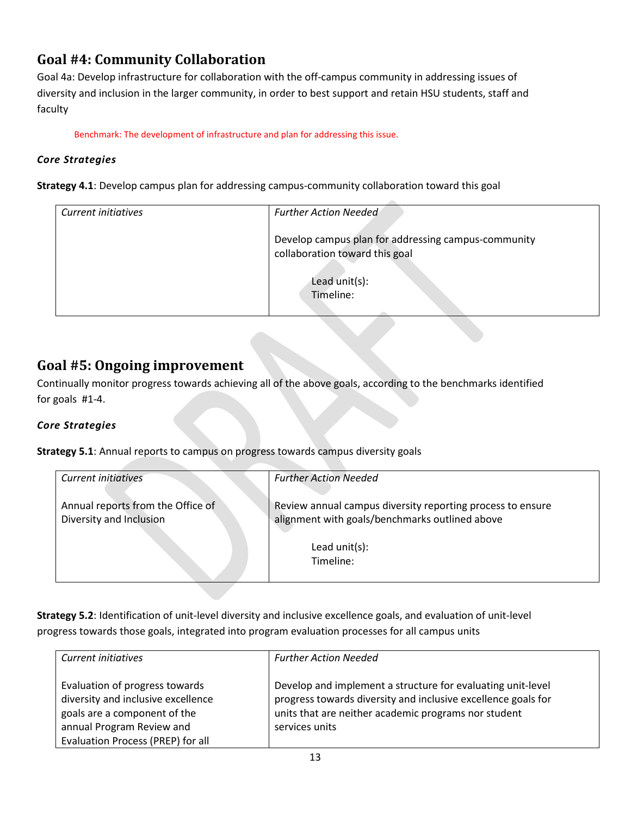# **Goal #4: Community Collaboration**

Goal 4a: Develop infrastructure for collaboration with the off-campus community in addressing issues of diversity and inclusion in the larger community, in order to best support and retain HSU students, staff and faculty

Benchmark: The development of infrastructure and plan for addressing this issue.

### *Core Strategies*

**Strategy 4.1**: Develop campus plan for addressing campus-community collaboration toward this goal

| Current initiatives | <b>Further Action Needed</b>                                                                           |
|---------------------|--------------------------------------------------------------------------------------------------------|
|                     | Develop campus plan for addressing campus-community<br>collaboration toward this goal<br>Lead unit(s): |
|                     | Timeline:                                                                                              |

### **Goal #5: Ongoing improvement**

Continually monitor progress towards achieving all of the above goals, according to the benchmarks identified for goals #1-4.

### *Core Strategies*

**Strategy 5.1**: Annual reports to campus on progress towards campus diversity goals

| Current initiatives                                          | <b>Further Action Needed</b>                                                                                                                  |
|--------------------------------------------------------------|-----------------------------------------------------------------------------------------------------------------------------------------------|
| Annual reports from the Office of<br>Diversity and Inclusion | Review annual campus diversity reporting process to ensure<br>alignment with goals/benchmarks outlined above<br>Lead $unit(s)$ :<br>Timeline: |

**Strategy 5.2**: Identification of unit-level diversity and inclusive excellence goals, and evaluation of unit-level progress towards those goals, integrated into program evaluation processes for all campus units

| Current initiatives                | <b>Further Action Needed</b>                                  |
|------------------------------------|---------------------------------------------------------------|
|                                    |                                                               |
|                                    |                                                               |
| Evaluation of progress towards     | Develop and implement a structure for evaluating unit-level   |
|                                    |                                                               |
| diversity and inclusive excellence | progress towards diversity and inclusive excellence goals for |
| goals are a component of the       | units that are neither academic programs nor student          |
|                                    |                                                               |
| annual Program Review and          | services units                                                |
|                                    |                                                               |
| Evaluation Process (PREP) for all  |                                                               |
|                                    |                                                               |